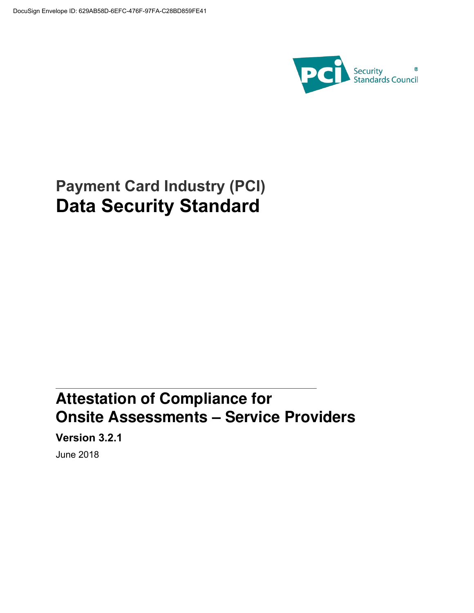

# **Payment Card Industry (PCI) Data Security Standard**

# **Attestation of Compliance for Onsite Assessments – Service Providers**

**Version 3.2.1**

June 2018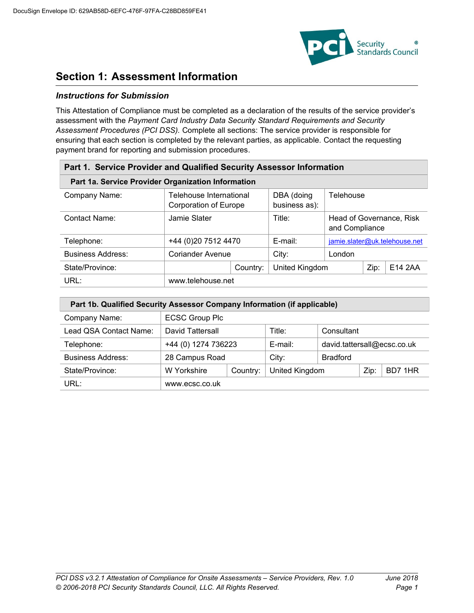

### **Section 1: Assessment Information**

#### *Instructions for Submission*

This Attestation of Compliance must be completed as a declaration of the results of the service provider's assessment with the *Payment Card Industry Data Security Standard Requirements and Security Assessment Procedures (PCI DSS).* Complete all sections: The service provider is responsible for ensuring that each section is completed by the relevant parties, as applicable. Contact the requesting payment brand for reporting and submission procedures.

| Part 1. Service Provider and Qualified Security Assessor Information |                                                  |          |                             |                                            |      |                               |  |
|----------------------------------------------------------------------|--------------------------------------------------|----------|-----------------------------|--------------------------------------------|------|-------------------------------|--|
| Part 1a. Service Provider Organization Information                   |                                                  |          |                             |                                            |      |                               |  |
| Company Name:                                                        | Telehouse International<br>Corporation of Europe |          | DBA (doing<br>business as): | Telehouse                                  |      |                               |  |
| <b>Contact Name:</b>                                                 | Jamie Slater                                     |          | Title:                      | Head of Governance, Risk<br>and Compliance |      |                               |  |
| Telephone:                                                           | +44 (0) 20 7512 4470                             |          | $E$ -mail:                  |                                            |      | jamie.slater@uk.telehouse.net |  |
| <b>Business Address:</b>                                             | Coriander Avenue                                 |          | City:                       | London                                     |      |                               |  |
| State/Province:                                                      |                                                  | Country: | United Kingdom              |                                            | Zip: | E14 2AA                       |  |
| URL:                                                                 | www.telehouse.net                                |          |                             |                                            |      |                               |  |

| Part 1b. Qualified Security Assessor Company Information (if applicable) |                       |          |                |                             |      |         |  |  |
|--------------------------------------------------------------------------|-----------------------|----------|----------------|-----------------------------|------|---------|--|--|
| Company Name:                                                            | <b>ECSC Group Plc</b> |          |                |                             |      |         |  |  |
| Lead QSA Contact Name:                                                   | David Tattersall      |          | Title:         | Consultant                  |      |         |  |  |
| Telephone:                                                               | +44 (0) 1274 736223   |          | $E$ -mail:     | david.tattersall@ecsc.co.uk |      |         |  |  |
| <b>Business Address:</b>                                                 | 28 Campus Road        |          | City:          | <b>Bradford</b>             |      |         |  |  |
| State/Province:                                                          | W Yorkshire           | Country: | United Kingdom |                             | Zip: | BD7 1HR |  |  |
| URL:                                                                     | www.ecsc.co.uk        |          |                |                             |      |         |  |  |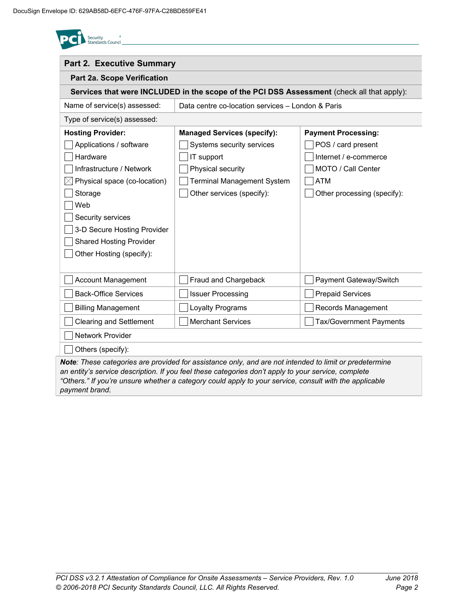| <b>Part 2. Executive Summary</b> |                                                                                            |                                |
|----------------------------------|--------------------------------------------------------------------------------------------|--------------------------------|
| Part 2a. Scope Verification      |                                                                                            |                                |
|                                  | Services that were INCLUDED in the scope of the PCI DSS Assessment (check all that apply): |                                |
| Name of service(s) assessed:     | Data centre co-location services - London & Paris                                          |                                |
| Type of service(s) assessed:     |                                                                                            |                                |
| <b>Hosting Provider:</b>         | <b>Managed Services (specify):</b>                                                         | <b>Payment Processing:</b>     |
| Applications / software          | Systems security services                                                                  | POS / card present             |
| Hardware                         | IT support                                                                                 | Internet / e-commerce          |
| Infrastructure / Network         | Physical security                                                                          | MOTO / Call Center             |
| Physical space (co-location)     | <b>Terminal Management System</b>                                                          | <b>ATM</b>                     |
| Storage                          | Other services (specify):                                                                  | Other processing (specify):    |
| Web                              |                                                                                            |                                |
| Security services                |                                                                                            |                                |
| 3-D Secure Hosting Provider      |                                                                                            |                                |
| <b>Shared Hosting Provider</b>   |                                                                                            |                                |
| Other Hosting (specify):         |                                                                                            |                                |
|                                  |                                                                                            |                                |
| <b>Account Management</b>        | Fraud and Chargeback                                                                       | Payment Gateway/Switch         |
| <b>Back-Office Services</b>      | <b>Issuer Processing</b>                                                                   | <b>Prepaid Services</b>        |
| <b>Billing Management</b>        | Loyalty Programs                                                                           | Records Management             |
| <b>Clearing and Settlement</b>   | <b>Merchant Services</b>                                                                   | <b>Tax/Government Payments</b> |
| Network Provider                 |                                                                                            |                                |
| Others (specify):                |                                                                                            |                                |

*Note: These categories are provided for assistance only, and are not intended to limit or predetermine an entity's service description. If you feel these categories don't apply to your service, complete "Others." If you're unsure whether a category could apply to your service, consult with the applicable payment brand.*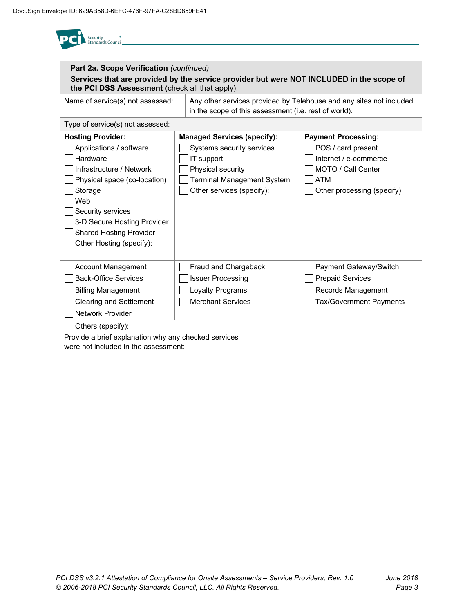

| Part 2a. Scope Verification (continued)                                                                                                                                                                                                                         |                                                                                                                                                                      |                                                                                                                                              |  |  |  |  |
|-----------------------------------------------------------------------------------------------------------------------------------------------------------------------------------------------------------------------------------------------------------------|----------------------------------------------------------------------------------------------------------------------------------------------------------------------|----------------------------------------------------------------------------------------------------------------------------------------------|--|--|--|--|
| Services that are provided by the service provider but were NOT INCLUDED in the scope of<br>the PCI DSS Assessment (check all that apply):                                                                                                                      |                                                                                                                                                                      |                                                                                                                                              |  |  |  |  |
| Name of service(s) not assessed:                                                                                                                                                                                                                                |                                                                                                                                                                      | Any other services provided by Telehouse and any sites not included<br>in the scope of this assessment (i.e. rest of world).                 |  |  |  |  |
| Type of service(s) not assessed:                                                                                                                                                                                                                                |                                                                                                                                                                      |                                                                                                                                              |  |  |  |  |
| <b>Hosting Provider:</b><br>Applications / software<br>Hardware<br>Infrastructure / Network<br>Physical space (co-location)<br>Storage<br>Web<br>Security services<br>3-D Secure Hosting Provider<br><b>Shared Hosting Provider</b><br>Other Hosting (specify): | <b>Managed Services (specify):</b><br>Systems security services<br>IT support<br>Physical security<br><b>Terminal Management System</b><br>Other services (specify): | <b>Payment Processing:</b><br>POS / card present<br>Internet / e-commerce<br>MOTO / Call Center<br><b>ATM</b><br>Other processing (specify): |  |  |  |  |
| <b>Account Management</b>                                                                                                                                                                                                                                       | Fraud and Chargeback                                                                                                                                                 | Payment Gateway/Switch                                                                                                                       |  |  |  |  |
| <b>Back-Office Services</b>                                                                                                                                                                                                                                     | <b>Issuer Processing</b>                                                                                                                                             | <b>Prepaid Services</b>                                                                                                                      |  |  |  |  |
| <b>Billing Management</b>                                                                                                                                                                                                                                       | Loyalty Programs                                                                                                                                                     | Records Management                                                                                                                           |  |  |  |  |
| <b>Clearing and Settlement</b>                                                                                                                                                                                                                                  | <b>Merchant Services</b>                                                                                                                                             | <b>Tax/Government Payments</b>                                                                                                               |  |  |  |  |
| <b>Network Provider</b>                                                                                                                                                                                                                                         |                                                                                                                                                                      |                                                                                                                                              |  |  |  |  |
| Others (specify):                                                                                                                                                                                                                                               |                                                                                                                                                                      |                                                                                                                                              |  |  |  |  |
| Provide a brief explanation why any checked services<br>were not included in the assessment:                                                                                                                                                                    |                                                                                                                                                                      |                                                                                                                                              |  |  |  |  |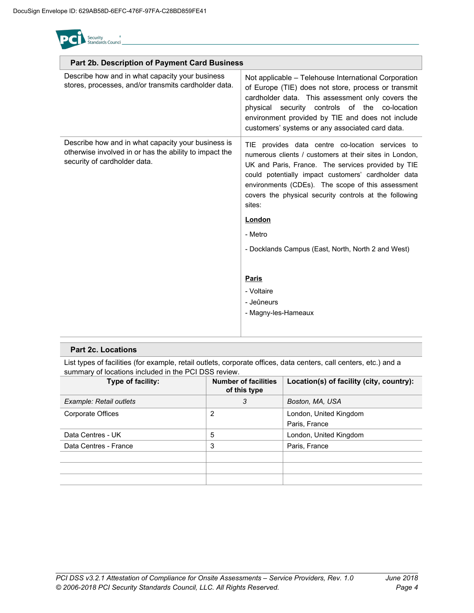Security<br>Standards Counc

| Part 2b. Description of Payment Card Business                                                                                                |                                                                                                                                                                                                                                                                                                                                                                                                                                                                         |
|----------------------------------------------------------------------------------------------------------------------------------------------|-------------------------------------------------------------------------------------------------------------------------------------------------------------------------------------------------------------------------------------------------------------------------------------------------------------------------------------------------------------------------------------------------------------------------------------------------------------------------|
| Describe how and in what capacity your business<br>stores, processes, and/or transmits cardholder data.                                      | Not applicable - Telehouse International Corporation<br>of Europe (TIE) does not store, process or transmit<br>cardholder data. This assessment only covers the<br>physical security controls of the co-location<br>environment provided by TIE and does not include<br>customers' systems or any associated card data.                                                                                                                                                 |
| Describe how and in what capacity your business is<br>otherwise involved in or has the ability to impact the<br>security of cardholder data. | TIE provides data centre co-location services to<br>numerous clients / customers at their sites in London.<br>UK and Paris, France. The services provided by TIE<br>could potentially impact customers' cardholder data<br>environments (CDEs). The scope of this assessment<br>covers the physical security controls at the following<br>sites:<br>London<br>- Metro<br>- Docklands Campus (East, North, North 2 and West)<br><b>Paris</b><br>- Voltaire<br>- Jeûneurs |
|                                                                                                                                              | - Magny-les-Hameaux                                                                                                                                                                                                                                                                                                                                                                                                                                                     |

#### **Part 2c. Locations**

List types of facilities (for example, retail outlets, corporate offices, data centers, call centers, etc.) and a summary of locations included in the PCI DSS review.

| Type of facility:       | <b>Number of facilities</b><br>of this type | Location(s) of facility (city, country): |
|-------------------------|---------------------------------------------|------------------------------------------|
| Example: Retail outlets | 3                                           | Boston, MA, USA                          |
| Corporate Offices       | 2                                           | London, United Kingdom                   |
|                         |                                             | Paris, France                            |
| Data Centres - UK       | 5                                           | London, United Kingdom                   |
| Data Centres - France   | 3                                           | Paris, France                            |
|                         |                                             |                                          |
|                         |                                             |                                          |
|                         |                                             |                                          |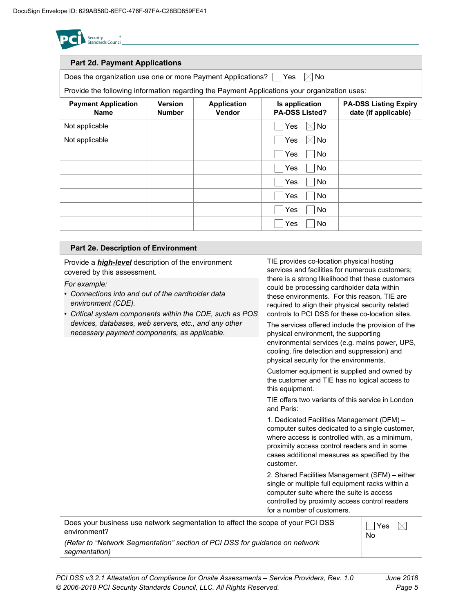

| <b>Part 2d. Payment Applications</b>                                                         |                                 |                              |                                         |                                                      |
|----------------------------------------------------------------------------------------------|---------------------------------|------------------------------|-----------------------------------------|------------------------------------------------------|
| Does the organization use one or more Payment Applications?     Yes                          |                                 |                              | $\boxtimes$ No                          |                                                      |
| Provide the following information regarding the Payment Applications your organization uses: |                                 |                              |                                         |                                                      |
| <b>Payment Application</b><br><b>Name</b>                                                    | <b>Version</b><br><b>Number</b> | <b>Application</b><br>Vendor | Is application<br><b>PA-DSS Listed?</b> | <b>PA-DSS Listing Expiry</b><br>date (if applicable) |
| Not applicable                                                                               |                                 |                              | $\boxtimes$ No<br>Yes                   |                                                      |
| Not applicable                                                                               |                                 |                              | $\boxtimes$ No<br>Yes                   |                                                      |
|                                                                                              |                                 |                              | <b>No</b><br>Yes                        |                                                      |
|                                                                                              |                                 |                              | <b>No</b><br>Yes                        |                                                      |
|                                                                                              |                                 |                              | <b>No</b><br>Yes                        |                                                      |
|                                                                                              |                                 |                              | Yes<br><b>No</b>                        |                                                      |
|                                                                                              |                                 |                              | <b>No</b><br>Yes                        |                                                      |
|                                                                                              |                                 |                              | <b>No</b><br>Yes                        |                                                      |
|                                                                                              |                                 |                              |                                         |                                                      |
| Part 2e. Description of Environment                                                          |                                 |                              |                                         |                                                      |

| Provide a <i>high-level</i> description of the environment<br>covered by this assessment.                                                                                      | TIE provides co-location physical hosting<br>services and facilities for numerous customers;                                                                                                                                                                  |     |  |  |
|--------------------------------------------------------------------------------------------------------------------------------------------------------------------------------|---------------------------------------------------------------------------------------------------------------------------------------------------------------------------------------------------------------------------------------------------------------|-----|--|--|
| For example:<br>• Connections into and out of the cardholder data<br>environment (CDE).<br>• Critical system components within the CDE, such as POS                            | there is a strong likelihood that these customers<br>could be processing cardholder data within<br>these environments. For this reason, TIE are<br>required to align their physical security related<br>controls to PCI DSS for these co-location sites.      |     |  |  |
| devices, databases, web servers, etc., and any other<br>necessary payment components, as applicable.                                                                           | The services offered include the provision of the<br>physical environment, the supporting<br>environmental services (e.g. mains power, UPS,<br>cooling, fire detection and suppression) and<br>physical security for the environments.                        |     |  |  |
|                                                                                                                                                                                | Customer equipment is supplied and owned by<br>the customer and TIE has no logical access to<br>this equipment.                                                                                                                                               |     |  |  |
|                                                                                                                                                                                | TIE offers two variants of this service in London<br>and Paris:                                                                                                                                                                                               |     |  |  |
|                                                                                                                                                                                | 1. Dedicated Facilities Management (DFM) -<br>computer suites dedicated to a single customer,<br>where access is controlled with, as a minimum,<br>proximity access control readers and in some<br>cases additional measures as specified by the<br>customer. |     |  |  |
|                                                                                                                                                                                | 2. Shared Facilities Management (SFM) - either<br>single or multiple full equipment racks within a<br>computer suite where the suite is access<br>controlled by proximity access control readers<br>for a number of customers.                                |     |  |  |
| Does your business use network segmentation to affect the scope of your PCI DSS<br>environment?<br>(Peter to "Network Seamentation" section of PCI DSS for quidance on petwork | <b>No</b>                                                                                                                                                                                                                                                     | Yes |  |  |

*(Refer to "Network Segmentation" section of PCI DSS for guidance on network segmentation)*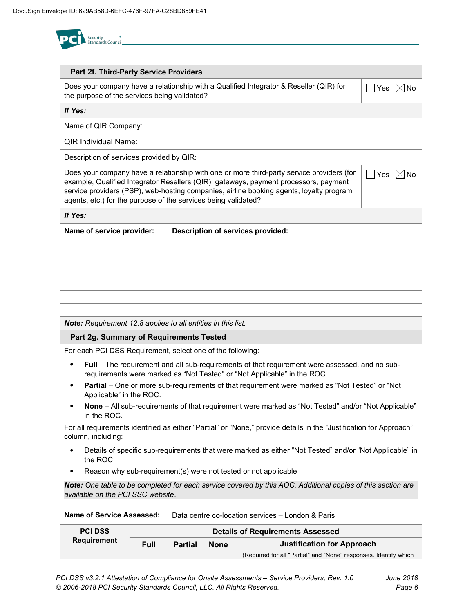

| Part 2f. Third-Party Service Providers                                                                                                                                                                                                                                                                                                                                 |  |                                   |  |  |  |  |  |
|------------------------------------------------------------------------------------------------------------------------------------------------------------------------------------------------------------------------------------------------------------------------------------------------------------------------------------------------------------------------|--|-----------------------------------|--|--|--|--|--|
| Does your company have a relationship with a Qualified Integrator & Reseller (QIR) for<br>Yes<br>the purpose of the services being validated?                                                                                                                                                                                                                          |  |                                   |  |  |  |  |  |
| If Yes:                                                                                                                                                                                                                                                                                                                                                                |  |                                   |  |  |  |  |  |
| Name of QIR Company:                                                                                                                                                                                                                                                                                                                                                   |  |                                   |  |  |  |  |  |
| <b>QIR Individual Name:</b>                                                                                                                                                                                                                                                                                                                                            |  |                                   |  |  |  |  |  |
| Description of services provided by QIR:                                                                                                                                                                                                                                                                                                                               |  |                                   |  |  |  |  |  |
| Does your company have a relationship with one or more third-party service providers (for<br>Yes<br>No<br>example, Qualified Integrator Resellers (QIR), gateways, payment processors, payment<br>service providers (PSP), web-hosting companies, airline booking agents, loyalty program<br>agents, etc.) for the purpose of the services being validated?<br>If Yes: |  |                                   |  |  |  |  |  |
| Name of service provider:                                                                                                                                                                                                                                                                                                                                              |  | Description of services provided: |  |  |  |  |  |
|                                                                                                                                                                                                                                                                                                                                                                        |  |                                   |  |  |  |  |  |
|                                                                                                                                                                                                                                                                                                                                                                        |  |                                   |  |  |  |  |  |
|                                                                                                                                                                                                                                                                                                                                                                        |  |                                   |  |  |  |  |  |
|                                                                                                                                                                                                                                                                                                                                                                        |  |                                   |  |  |  |  |  |
|                                                                                                                                                                                                                                                                                                                                                                        |  |                                   |  |  |  |  |  |
| Note: Requirement 12.8 applies to all entities in this list.                                                                                                                                                                                                                                                                                                           |  |                                   |  |  |  |  |  |

### **Part 2g. Summary of Requirements Tested**

For each PCI DSS Requirement, select one of the following:

- **Full** The requirement and all sub-requirements of that requirement were assessed, and no subrequirements were marked as "Not Tested" or "Not Applicable" in the ROC.
- **Partial** One or more sub-requirements of that requirement were marked as "Not Tested" or "Not Applicable" in the ROC.
- **None** All sub-requirements of that requirement were marked as "Not Tested" and/or "Not Applicable" in the ROC.

For all requirements identified as either "Partial" or "None," provide details in the "Justification for Approach" column, including:

- Details of specific sub-requirements that were marked as either "Not Tested" and/or "Not Applicable" in the ROC
- Reason why sub-requirement(s) were not tested or not applicable

*Note: One table to be completed for each service covered by this AOC. Additional copies of this section are available on the PCI SSC website*.

| Name of Service Assessed: | Data centre co-location services – London & Paris |                                                                    |  |                                                                  |  |  |
|---------------------------|---------------------------------------------------|--------------------------------------------------------------------|--|------------------------------------------------------------------|--|--|
| <b>PCI DSS</b>            |                                                   | <b>Details of Requirements Assessed</b>                            |  |                                                                  |  |  |
| <b>Requirement</b>        | Full                                              | <b>Justification for Approach</b><br><b>None</b><br><b>Partial</b> |  |                                                                  |  |  |
|                           |                                                   |                                                                    |  | (Required for all "Partial" and "None" responses. Identify which |  |  |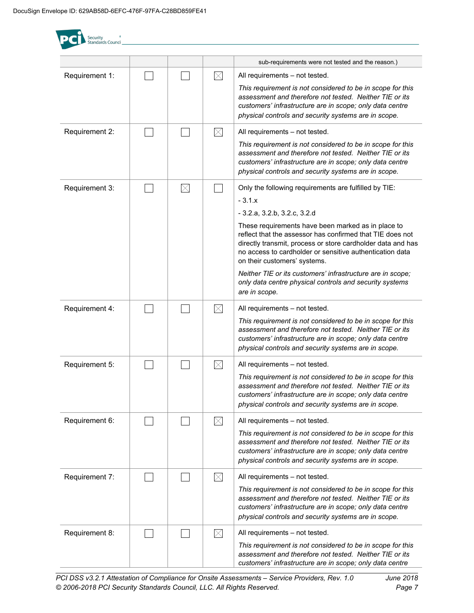$\epsilon$ 

Security

| Standards Counci |             |             |                                                                                                                                                                                                                                                                            |
|------------------|-------------|-------------|----------------------------------------------------------------------------------------------------------------------------------------------------------------------------------------------------------------------------------------------------------------------------|
|                  |             |             | sub-requirements were not tested and the reason.)                                                                                                                                                                                                                          |
| Requirement 1:   |             | $\boxtimes$ | All requirements - not tested.                                                                                                                                                                                                                                             |
|                  |             |             | This requirement is not considered to be in scope for this<br>assessment and therefore not tested. Neither TIE or its<br>customers' infrastructure are in scope; only data centre<br>physical controls and security systems are in scope.                                  |
| Requirement 2:   |             | $\boxtimes$ | All requirements - not tested.                                                                                                                                                                                                                                             |
|                  |             |             | This requirement is not considered to be in scope for this<br>assessment and therefore not tested. Neither TIE or its<br>customers' infrastructure are in scope; only data centre<br>physical controls and security systems are in scope.                                  |
| Requirement 3:   | $\boxtimes$ |             | Only the following requirements are fulfilled by TIE:                                                                                                                                                                                                                      |
|                  |             |             | $-3.1.x$                                                                                                                                                                                                                                                                   |
|                  |             |             | $-3.2.a, 3.2.b, 3.2.c, 3.2.d$                                                                                                                                                                                                                                              |
|                  |             |             | These requirements have been marked as in place to<br>reflect that the assessor has confirmed that TIE does not<br>directly transmit, process or store cardholder data and has<br>no access to cardholder or sensitive authentication data<br>on their customers' systems. |
|                  |             |             | Neither TIE or its customers' infrastructure are in scope;<br>only data centre physical controls and security systems<br>are in scope.                                                                                                                                     |
| Requirement 4:   |             | $\boxtimes$ | All requirements - not tested.                                                                                                                                                                                                                                             |
|                  |             |             | This requirement is not considered to be in scope for this<br>assessment and therefore not tested. Neither TIE or its<br>customers' infrastructure are in scope; only data centre<br>physical controls and security systems are in scope.                                  |
| Requirement 5:   |             | $\boxtimes$ | All requirements - not tested.                                                                                                                                                                                                                                             |
|                  |             |             | This requirement is not considered to be in scope for this<br>assessment and therefore not tested. Neither TIE or its<br>customers' infrastructure are in scope; only data centre<br>physical controls and security systems are in scope.                                  |
| Requirement 6:   |             | $\boxtimes$ | All requirements - not tested.                                                                                                                                                                                                                                             |
|                  |             |             | This requirement is not considered to be in scope for this<br>assessment and therefore not tested. Neither TIE or its<br>customers' infrastructure are in scope; only data centre<br>physical controls and security systems are in scope.                                  |
| Requirement 7:   |             | $\boxtimes$ | All requirements - not tested.                                                                                                                                                                                                                                             |
|                  |             |             | This requirement is not considered to be in scope for this<br>assessment and therefore not tested. Neither TIE or its<br>customers' infrastructure are in scope; only data centre<br>physical controls and security systems are in scope.                                  |
| Requirement 8:   |             | $\boxtimes$ | All requirements - not tested.                                                                                                                                                                                                                                             |
|                  |             |             | This requirement is not considered to be in scope for this<br>assessment and therefore not tested. Neither TIE or its<br>customers' infrastructure are in scope; only data centre                                                                                          |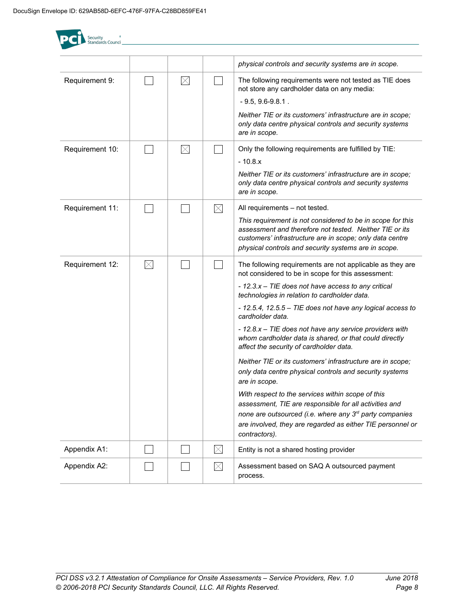| <b>Security</b><br>Standards Counci |             |             |             |                                                                                                                                                                                                                                                                                                                                                                                                                                                                                                                                                                                                                                                                                                                                                                                                                                                                             |
|-------------------------------------|-------------|-------------|-------------|-----------------------------------------------------------------------------------------------------------------------------------------------------------------------------------------------------------------------------------------------------------------------------------------------------------------------------------------------------------------------------------------------------------------------------------------------------------------------------------------------------------------------------------------------------------------------------------------------------------------------------------------------------------------------------------------------------------------------------------------------------------------------------------------------------------------------------------------------------------------------------|
|                                     |             |             |             | physical controls and security systems are in scope.                                                                                                                                                                                                                                                                                                                                                                                                                                                                                                                                                                                                                                                                                                                                                                                                                        |
| Requirement 9:                      |             | $\boxtimes$ |             | The following requirements were not tested as TIE does<br>not store any cardholder data on any media:<br>$-9.5, 9.6 - 9.8.1$ .<br>Neither TIE or its customers' infrastructure are in scope;<br>only data centre physical controls and security systems<br>are in scope.                                                                                                                                                                                                                                                                                                                                                                                                                                                                                                                                                                                                    |
| Requirement 10:                     |             | $\boxtimes$ |             | Only the following requirements are fulfilled by TIE:<br>$-10.8.x$<br>Neither TIE or its customers' infrastructure are in scope;<br>only data centre physical controls and security systems<br>are in scope.                                                                                                                                                                                                                                                                                                                                                                                                                                                                                                                                                                                                                                                                |
| Requirement 11:                     |             |             | $\boxtimes$ | All requirements - not tested.<br>This requirement is not considered to be in scope for this<br>assessment and therefore not tested. Neither TIE or its<br>customers' infrastructure are in scope; only data centre<br>physical controls and security systems are in scope.                                                                                                                                                                                                                                                                                                                                                                                                                                                                                                                                                                                                 |
| Requirement 12:                     | $\boxtimes$ |             |             | The following requirements are not applicable as they are<br>not considered to be in scope for this assessment:<br>- 12.3.x - TIE does not have access to any critical<br>technologies in relation to cardholder data.<br>- 12.5.4, 12.5.5 - TIE does not have any logical access to<br>cardholder data.<br>- 12.8.x - TIE does not have any service providers with<br>whom cardholder data is shared, or that could directly<br>affect the security of cardholder data.<br>Neither TIE or its customers' infrastructure are in scope;<br>only data centre physical controls and security systems<br>are in scope.<br>With respect to the services within scope of this<br>assessment, TIE are responsible for all activities and<br>none are outsourced (i.e. where any 3rd party companies<br>are involved, they are regarded as either TIE personnel or<br>contractors). |
| Appendix A1:                        |             |             | $\boxtimes$ | Entity is not a shared hosting provider                                                                                                                                                                                                                                                                                                                                                                                                                                                                                                                                                                                                                                                                                                                                                                                                                                     |
| Appendix A2:                        |             |             | $\boxtimes$ | Assessment based on SAQ A outsourced payment<br>process.                                                                                                                                                                                                                                                                                                                                                                                                                                                                                                                                                                                                                                                                                                                                                                                                                    |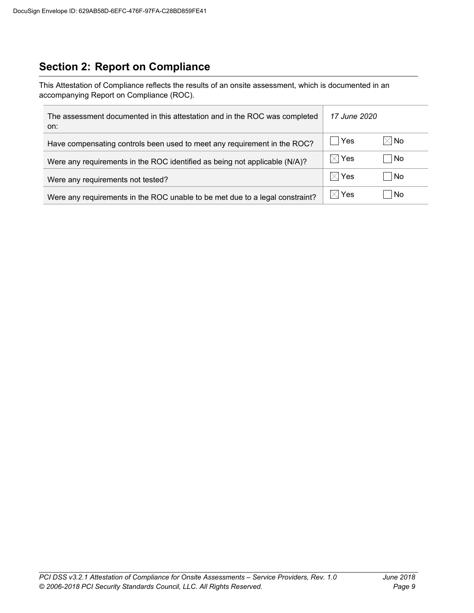## **Section 2: Report on Compliance**

This Attestation of Compliance reflects the results of an onsite assessment, which is documented in an accompanying Report on Compliance (ROC).

| The assessment documented in this attestation and in the ROC was completed<br>on: | 17 June 2020    |                |
|-----------------------------------------------------------------------------------|-----------------|----------------|
| Have compensating controls been used to meet any requirement in the ROC?          | Yes             | $\boxtimes$ No |
| Were any requirements in the ROC identified as being not applicable (N/A)?        | $\boxtimes$ Yes | l No           |
| Were any requirements not tested?                                                 | $\boxtimes$ Yes | l No           |
| Were any requirements in the ROC unable to be met due to a legal constraint?      | $\boxtimes$ Yes | l No           |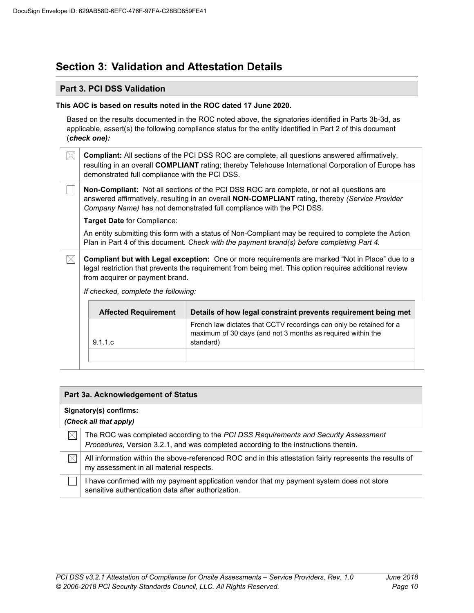## **Section 3: Validation and Attestation Details**

#### **Part 3. PCI DSS Validation**

#### **This AOC is based on results noted in the ROC dated 17 June 2020***.*

Based on the results documented in the ROC noted above, the signatories identified in Parts 3b-3d, as applicable, assert(s) the following compliance status for the entity identified in Part 2 of this document (*check one):*

 $\boxtimes$ **Compliant:** All sections of the PCI DSS ROC are complete, all questions answered affirmatively, resulting in an overall **COMPLIANT** rating; thereby Telehouse International Corporation of Europe has demonstrated full compliance with the PCI DSS.

**Non-Compliant:** Not all sections of the PCI DSS ROC are complete, or not all questions are answered affirmatively, resulting in an overall **NON-COMPLIANT** rating, thereby *(Service Provider Company Name)* has not demonstrated full compliance with the PCI DSS.

**Target Date** for Compliance:

An entity submitting this form with a status of Non-Compliant may be required to complete the Action Plan in Part 4 of this document. *Check with the payment brand(s) before completing Part 4.*

 $\boxtimes$ **Compliant but with Legal exception:** One or more requirements are marked "Not in Place" due to a legal restriction that prevents the requirement from being met. This option requires additional review from acquirer or payment brand.

*If checked, complete the following:*

| <b>Affected Requirement</b> | Details of how legal constraint prevents requirement being met                                                                                  |
|-----------------------------|-------------------------------------------------------------------------------------------------------------------------------------------------|
| 9.1.1.c                     | French law dictates that CCTV recordings can only be retained for a<br>maximum of 30 days (and not 3 months as required within the<br>standard) |
|                             |                                                                                                                                                 |

#### **Part 3a. Acknowledgement of Status**

#### **Signatory(s) confirms:**

*(Check all that apply)*

- $\bowtie$ The ROC was completed according to the *PCI DSS Requirements and Security Assessment Procedures*, Version 3.2.1, and was completed according to the instructions therein.
- $\bowtie$ All information within the above-referenced ROC and in this attestation fairly represents the results of my assessment in all material respects.

I have confirmed with my payment application vendor that my payment system does not store sensitive authentication data after authorization.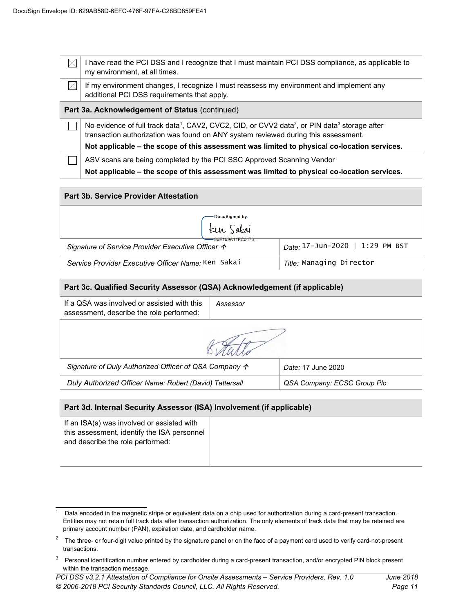| IХ                                             | I have read the PCI DSS and I recognize that I must maintain PCI DSS compliance, as applicable to<br>my environment, at all times.                                                                                      |  |  |
|------------------------------------------------|-------------------------------------------------------------------------------------------------------------------------------------------------------------------------------------------------------------------------|--|--|
| $\boxtimes$                                    | If my environment changes, I recognize I must reassess my environment and implement any<br>additional PCI DSS requirements that apply.                                                                                  |  |  |
| Part 3a. Acknowledgement of Status (continued) |                                                                                                                                                                                                                         |  |  |
|                                                | No evidence of full track data <sup>1</sup> , CAV2, CVC2, CID, or CVV2 data <sup>2</sup> , or PIN data <sup>3</sup> storage after<br>transaction authorization was found on ANY system reviewed during this assessment. |  |  |
|                                                | Not applicable – the scope of this assessment was limited to physical co-location services.                                                                                                                             |  |  |
|                                                |                                                                                                                                                                                                                         |  |  |
|                                                | ASV scans are being completed by the PCI SSC Approved Scanning Vendor                                                                                                                                                   |  |  |
|                                                | Not applicable – the scope of this assessment was limited to physical co-location services.                                                                                                                             |  |  |

| Part 3b. Service Provider Attestation                      |                                 |  |  |
|------------------------------------------------------------|---------------------------------|--|--|
| ∙DocuSigned by:                                            |                                 |  |  |
| Een Sakai<br>=86E199A11FC0473                              |                                 |  |  |
| Signature of Service Provider Executive Officer $\uparrow$ | Date: 17-Jun-2020   1:29 PM BST |  |  |
| Service Provider Executive Officer Name: Ken Saka1         | Title: Managing Director        |  |  |

#### **Part 3c. Qualified Security Assessor (QSA) Acknowledgement (if applicable)**

| If a QSA was involved or assisted with this   Assessor |  |
|--------------------------------------------------------|--|
| assessment, describe the role performed:               |  |

*Signature of Duly Authorized Officer of QSA Company Date:* 17 June 2020

*Duly Authorized Officer Name: Robert (David) Tattersall QSA Company: ECSC Group Plc*

#### **Part 3d. Internal Security Assessor (ISA) Involvement (if applicable)**

If an ISA(s) was involved or assisted with this assessment, identify the ISA personnel and describe the role performed:

<span id="page-11-0"></span><sup>1</sup> Data encoded in the magnetic stripe or equivalent data on a chip used for authorization during a card-present transaction. Entities may not retain full track data after transaction authorization. The only elements of track data that may be retained are primary account number (PAN), expiration date, and cardholder name.

<span id="page-11-1"></span><sup>&</sup>lt;sup>2</sup> The three- or four-digit value printed by the signature panel or on the face of a payment card used to verify card-not-present transactions.

<span id="page-11-2"></span><sup>&</sup>lt;sup>3</sup> Personal identification number entered by cardholder during a card-present transaction, and/or encrypted PIN block present within the transaction message.

*PCI DSS v3.2.1 Attestation of Compliance for Onsite Assessments – Service Providers, Rev. 1.0 June 2018 © 2006-2018 PCI Security Standards Council, LLC. All Rights Reserved. Page 11*